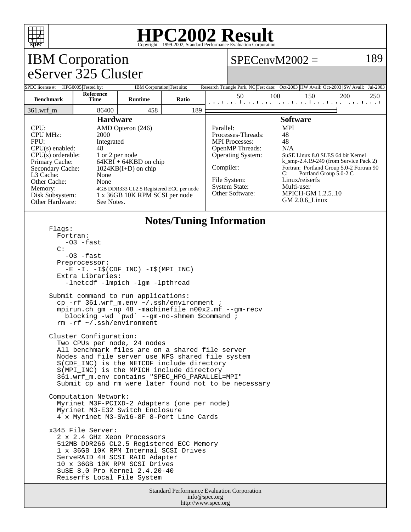

### **HPC2002 Result**  $\overline{\text{Copyright} \textcircled{\tiny{e}}1999\text{-}2002}$ , Standard Performa

#### Standard Performance Evaluation Corporation info@spec.org IBM Corporation eServer 325 Cluster  $SPECenvM2002 = 189$ SPEC license #: HPG0005 Tested by: IBM Corporation Test site: Research Triangle Park, NC Test date: Oct-2003 HW Avail: Oct-2003 SW Avail: Jul-2003 **Benchmark Reference Runtime Ratio** 50 100 150 200 250 361.wrf\_m 86400 458 189 **Hardware** CPU: AMD Opteron (246) CPU MHz: 2000 FPU: Integrated  $CPU(s)$  enabled:  $48$ <br>CPU(s) orderable:  $1$  or 2 per node CPU(s) orderable:<br>Primary Cache:  $64KBI + 64KBD$  on chip Secondary Cache: 1024KB(I+D) on chip L3 Cache: None Other Cache: None<br>Memory: 4GB D Memory: 4GB DDR333 CL2.5 Registered ECC per node<br>Disk Subsystem: 1 x 36GB 10K RPM SCSI per node 1 x 36GB 10K RPM SCSI per node Other Hardware: See Notes. **Software** Parallel: MPI Processes-Threads: 48 MPI Processes: 48 OpenMP Threads: N/A Operating System: SuSE Linux 8.0 SLES 64 bit Kernel k\_smp-2.4.19-249 (from Service Pack 2) Compiler: Fortran: Portland Group 5.0-2 Fortran 90<br>C: Portland Group 5.0-2 C Portland Group 5.0-2 C File System: Linux/reiserfs System State: Multi-user Other Software: MPICH-GM 1.2.5..10 GM 2.0.6\_Linux **Notes/Tuning Information** Flags: Fortran:  $-03$   $-fast$  $\cap$ :  $-03$   $-fast$  Preprocessor: -E -I. -I\$(CDF\_INC) -I\$(MPI\_INC) Extra Libraries: -lnetcdf -lmpich -lgm -lpthread Submit command to run applications: cp -rf 361.wrf\_m.env ~/.ssh/environment ; mpirun.ch\_gm -np 48 -machinefile n00x2.mf --gm-recv blocking -wd `pwd` --gm-no-shmem \$command ; rm -rf ~/.ssh/environment Cluster Configuration: Two CPUs per node, 24 nodes All benchmark files are on a shared file server Nodes and file server use NFS shared file system \$(CDF\_INC) is the NETCDF include directory \$(MPI\_INC) is the MPICH include directory 361.wrf\_m.env contains "SPEC\_HPG\_PARALLEL=MPI" Submit cp and rm were later found not to be necessary Computation Network: Myrinet M3F-PCIXD-2 Adapters (one per node) Myrinet M3-E32 Switch Enclosure 4 x Myrinet M3-SW16-8F 8-Port Line Cards x345 File Server: 2 x 2.4 GHz Xeon Processors 512MB DDR266 CL2.5 Registered ECC Memory 1 x 36GB 10K RPM Internal SCSI Drives ServeRAID 4H SCSI RAID Adapter 10 x 36GB 10K RPM SCSI Drives SuSE 8.0 Pro Kernel 2.4.20-40 Reiserfs Local File System

http://www.spec.org